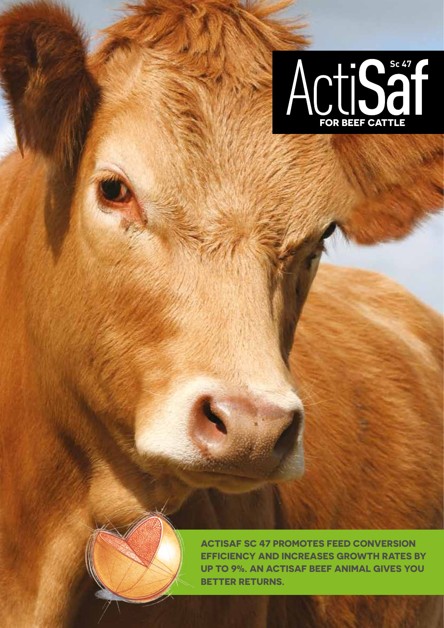



**Actisaf Sc 47 promotes feed conversion efficiency and increases growth rateS by up to 9%. An Actisaf beef animal gives you better returns.**